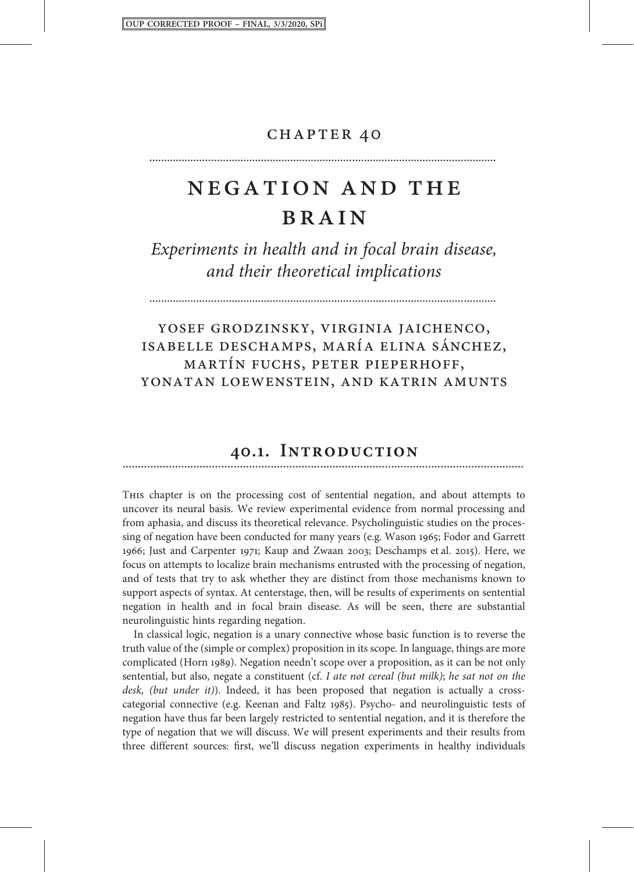## CHAPTER 40

......................................................................................................................

## NEGATION AND THE **BRAIN**

Experiments in health and in focal brain disease, and their theoretical implications

......................................................................................................................

YOSEF GRODZINSKY, VIRGINIA JAICHENCO,<br>ISABELLE DESCHAMPS, MARÍA ELINA SÁNCHEZ,<br>MARTÍN FUCHS, PETER PIEPERHOFF,<br>YONATAN LOEWENSTEIN, AND KATRIN AMUNTS

## **40.1. INTRODUCTION**

THIS chapter is on the processing cost of sentential negation, and about attempts to uncover its neural basis. We review experimental evidence from normal processing and from aphasia, and discuss its theoretical relevance. Psycholinguistic studies on the processing of negation have been conducted for many years (e.g. Wason 1965; Fodor and Garrett 1966; Just and Carpenter 1971; Kaup and Zwaan 2003; Deschamps et al. 2015). Here, we focus on attempts to localize brain mechanisms entrusted with the processing of negation, and of tests that try to ask whether they are distinct from those mechanisms known to support aspects of syntax. At centerstage, then, will be results of experiments on sentential negation in health and in focal brain disease. As will be seen, there are substantial neurolinguistic hints regarding negation.

In classical logic, negation is a unary connective whose basic function is to reverse the truth value of the (simple or complex) proposition in its scope. In language, things are more complicated (Horn 1989). Negation needn't scope over a proposition, as it can be not only sentential, but also, negate a constituent (cf. I ate not cereal (but milk); he sat not on the desk, (but under it)). Indeed, it has been proposed that negation is actually a crosscategorial connective (e.g. Keenan and Faltz 1985). Psycho- and neurolinguistic tests of negation have thus far been largely restricted to sentential negation, and it is therefore the type of negation that we will discuss. We will present experiments and their results from three different sources: first, we'll discuss negation experiments in healthy individuals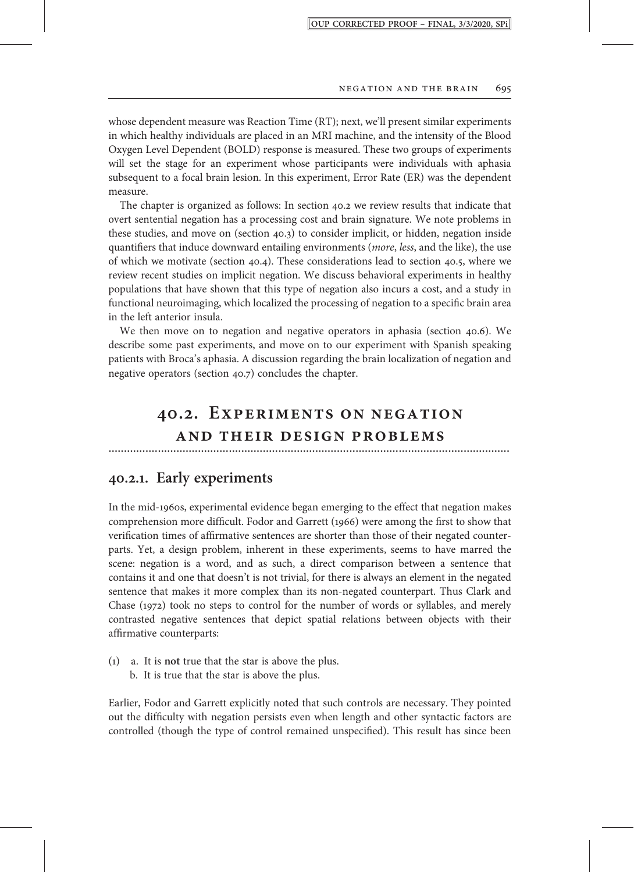whose dependent measure was Reaction Time (RT); next, we'll present similar experiments in which healthy individuals are placed in an MRI machine, and the intensity of the Blood Oxygen Level Dependent (BOLD) response is measured. These two groups of experiments will set the stage for an experiment whose participants were individuals with aphasia subsequent to a focal brain lesion. In this experiment, Error Rate (ER) was the dependent measure.

The chapter is organized as follows: In section 40.2 we review results that indicate that overt sentential negation has a processing cost and brain signature. We note problems in these studies, and move on (section  $40.3$ ) to consider implicit, or hidden, negation inside quantifiers that induce downward entailing environments (more, less, and the like), the use of which we motivate (section 40.4). These considerations lead to section 40.5, where we review recent studies on implicit negation. We discuss behavioral experiments in healthy populations that have shown that this type of negation also incurs a cost, and a study in functional neuroimaging, which localized the processing of negation to a specific brain area in the left anterior insula.

We then move on to negation and negative operators in aphasia (section 40.6). We describe some past experiments, and move on to our experiment with Spanish speaking patients with Broca's aphasia. A discussion regarding the brain localization of negation and negative operators (section 40.7) concludes the chapter.

# **40.2. EXPERIMENTS ON NEGATION**

**AND THEIR DESIGN PROBLEMS** 

### **... Early experiments**

In the mid-1960s, experimental evidence began emerging to the effect that negation makes comprehension more difficult. Fodor and Garrett (1966) were among the first to show that verification times of affirmative sentences are shorter than those of their negated counterparts. Yet, a design problem, inherent in these experiments, seems to have marred the scene: negation is a word, and as such, a direct comparison between a sentence that contains it and one that doesn't is not trivial, for there is always an element in the negated sentence that makes it more complex than its non-negated counterpart. Thus Clark and Chase (1972) took no steps to control for the number of words or syllables, and merely contrasted negative sentences that depict spatial relations between objects with their affirmative counterparts:

- () a. It is **not** true that the star is above the plus.
	- b. It is true that the star is above the plus.

Earlier, Fodor and Garrett explicitly noted that such controls are necessary. They pointed out the difficulty with negation persists even when length and other syntactic factors are controlled (though the type of control remained unspecified). This result has since been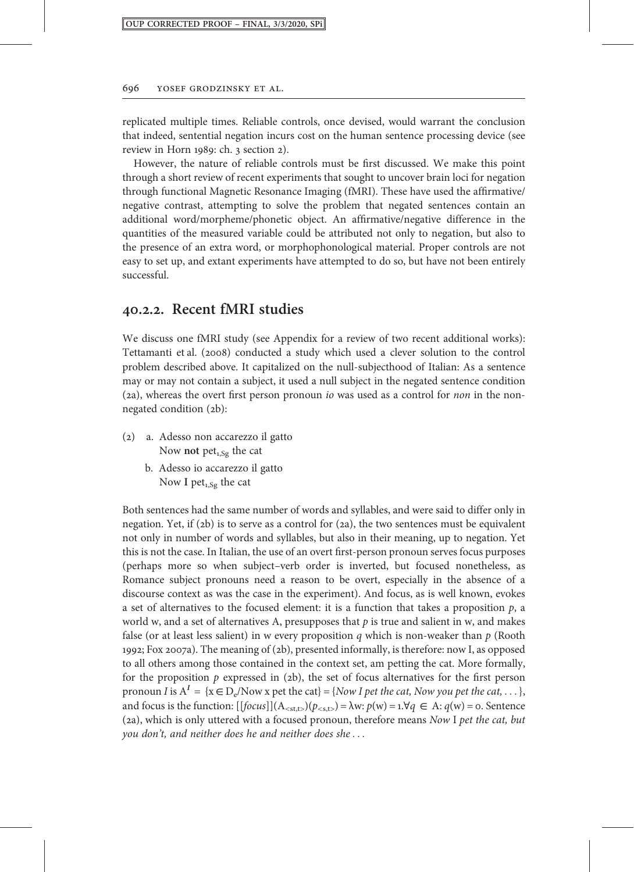replicated multiple times. Reliable controls, once devised, would warrant the conclusion that indeed, sentential negation incurs cost on the human sentence processing device (see review in Horn 1989: ch. 3 section 2).

However, the nature of reliable controls must be first discussed. We make this point through a short review of recent experiments that sought to uncover brain loci for negation through functional Magnetic Resonance Imaging (fMRI). These have used the affirmative/ negative contrast, attempting to solve the problem that negated sentences contain an additional word/morpheme/phonetic object. An affirmative/negative difference in the quantities of the measured variable could be attributed not only to negation, but also to the presence of an extra word, or morphophonological material. Proper controls are not easy to set up, and extant experiments have attempted to do so, but have not been entirely successful.

#### **... Recent fMRI studies**

We discuss one fMRI study (see Appendix for a review of two recent additional works): Tettamanti et al. (2008) conducted a study which used a clever solution to the control problem described above. It capitalized on the null-subjecthood of Italian: As a sentence may or may not contain a subject, it used a null subject in the negated sentence condition (2a), whereas the overt first person pronoun *io* was used as a control for *non* in the nonnegated condition (2b):

- () a. Adesso non accarezzo il gatto Now **not** pet<sub>1,Sg</sub> the cat
	- b. Adesso io accarezzo il gatto Now  $I$  pet<sub>1,Sg</sub> the cat

Both sentences had the same number of words and syllables, and were said to differ only in negation. Yet, if  $(2b)$  is to serve as a control for  $(2a)$ , the two sentences must be equivalent not only in number of words and syllables, but also in their meaning, up to negation. Yet this is not the case. In Italian, the use of an overt first-person pronoun serves focus purposes (perhaps more so when subject–verb order is inverted, but focused nonetheless, as Romance subject pronouns need a reason to be overt, especially in the absence of a discourse context as was the case in the experiment). And focus, as is well known, evokes a set of alternatives to the focused element: it is a function that takes a proposition  $p$ , a world w, and a set of alternatives A, presupposes that  $p$  is true and salient in w, and makes false (or at least less salient) in w every proposition q which is non-weaker than  $p$  (Rooth 1992; Fox 2007a). The meaning of (2b), presented informally, is therefore: now I, as opposed to all others among those contained in the context set, am petting the cat. More formally, for the proposition  $p$  expressed in (2b), the set of focus alternatives for the first person pronoun I is  $A^I = \{x \in D_e/N$ ow x pet the cat} =  $\{Now I$  pet the cat, Now you pet the cat, ...}, and focus is the function:  $[[focus]](A_{< st,t>})(p_{< s,t>}) = \lambda w: p(w) = 1. \forall q \in A: q(w) = 0.$  Sentence (2a), which is only uttered with a focused pronoun, therefore means Now I pet the cat, but you don't, and neither does he and neither does she...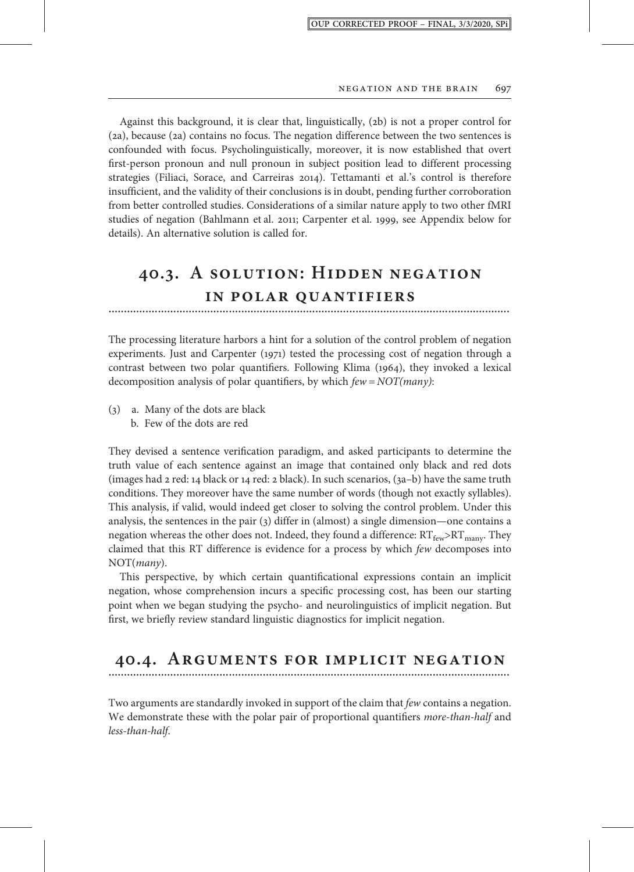Against this background, it is clear that, linguistically, (2b) is not a proper control for (a), because (a) contains no focus. The negation difference between the two sentences is confounded with focus. Psycholinguistically, moreover, it is now established that overt first-person pronoun and null pronoun in subject position lead to different processing strategies (Filiaci, Sorace, and Carreiras 2014). Tettamanti et al.'s control is therefore insufficient, and the validity of their conclusions is in doubt, pending further corroboration from better controlled studies. Considerations of a similar nature apply to two other fMRI studies of negation (Bahlmann et al. 2011; Carpenter et al. 1999, see Appendix below for details). An alternative solution is called for.

## 40.3. A SOLUTION: HIDDEN NEGATION **IN POLAR QUANTIFIERS**

The processing literature harbors a hint for a solution of the control problem of negation experiments. Just and Carpenter  $(1971)$  tested the processing cost of negation through a contrast between two polar quantifiers. Following Klima  $(1964)$ , they invoked a lexical decomposition analysis of polar quantifiers, by which  $few = NOT(many)$ :

- (3) a. Many of the dots are black
	- b. Few of the dots are red

They devised a sentence verification paradigm, and asked participants to determine the truth value of each sentence against an image that contained only black and red dots (images had  $2$  red:  $14$  black or  $14$  red:  $2$  black). In such scenarios,  $(3a-b)$  have the same truth conditions. They moreover have the same number of words (though not exactly syllables). This analysis, if valid, would indeed get closer to solving the control problem. Under this analysis, the sentences in the pair  $(3)$  differ in (almost) a single dimension—one contains a negation whereas the other does not. Indeed, they found a difference:  $RT_{few} > RT_{many}$ . They claimed that this RT difference is evidence for a process by which few decomposes into NOT(many).

This perspective, by which certain quantificational expressions contain an implicit negation, whose comprehension incurs a specific processing cost, has been our starting point when we began studying the psycho- and neurolinguistics of implicit negation. But first, we briefly review standard linguistic diagnostics for implicit negation.

## **40.4. ARGUMENTS FOR IMPLICIT NEGATION**

Two arguments are standardly invoked in support of the claim that few contains a negation. We demonstrate these with the polar pair of proportional quantifiers more-than-half and less-than-half.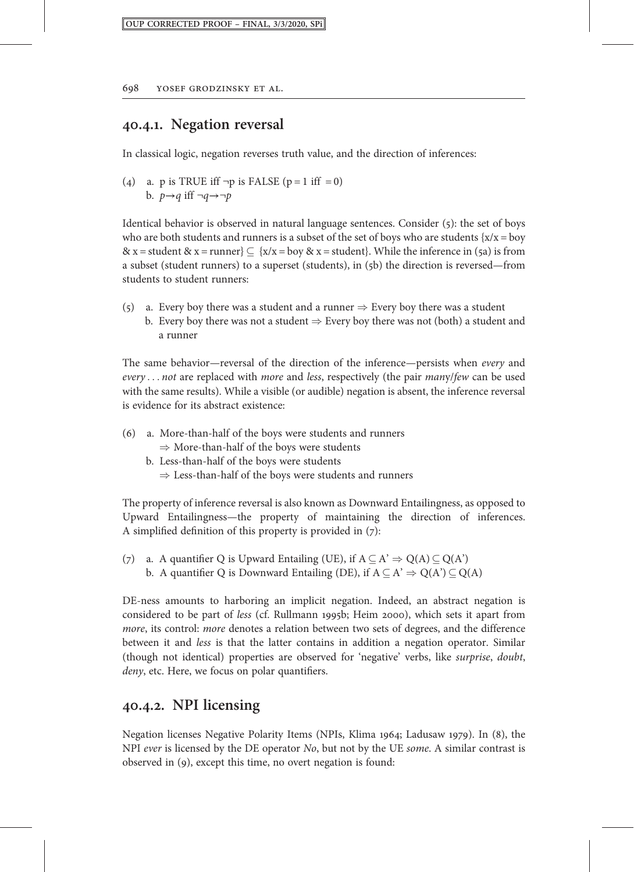698 YOSEF GRODZINSKY ET AL.

#### **... Negation reversal**

In classical logic, negation reverses truth value, and the direction of inferences:

(4) a. p is TRUE iff  $\neg p$  is FALSE (p = 1 iff = 0) b.  $p \rightarrow q$  iff  $\neg q \rightarrow \neg p$ 

Identical behavior is observed in natural language sentences. Consider  $(5)$ : the set of boys who are both students and runners is a subset of the set of boys who are students  $\{x/x = boy$ & x = student & x = runner}  $\subseteq \{x/x = boy \& x = student\}$ . While the inference in (5a) is from a subset (student runners) to a superset (students), in (5b) the direction is reversed—from students to student runners:

(5) a. Every boy there was a student and a runner  $\Rightarrow$  Every boy there was a student b. Every boy there was not a student  $\Rightarrow$  Every boy there was not (both) a student and a runner

The same behavior—reversal of the direction of the inference—persists when every and every ... not are replaced with more and less, respectively (the pair many/few can be used with the same results). While a visible (or audible) negation is absent, the inference reversal is evidence for its abstract existence:

- () a. More-than-half of the boys were students and runners
	- $\Rightarrow$  More-than-half of the boys were students
	- b. Less-than-half of the boys were students
		- $\Rightarrow$  Less-than-half of the boys were students and runners

The property of inference reversal is also known as Downward Entailingness, as opposed to Upward Entailingness—the property of maintaining the direction of inferences. A simplified definition of this property is provided in  $(7)$ :

(7) a. A quantifier Q is Upward Entailing (UE), if  $A \subseteq A' \Rightarrow Q(A) \subseteq Q(A')$ b. A quantifier Q is Downward Entailing (DE), if  $A \subseteq A' \Rightarrow Q(A') \subseteq Q(A)$ 

DE-ness amounts to harboring an implicit negation. Indeed, an abstract negation is considered to be part of less (cf. Rullmann 1995b; Heim 2000), which sets it apart from more, its control: more denotes a relation between two sets of degrees, and the difference between it and less is that the latter contains in addition a negation operator. Similar (though not identical) properties are observed for 'negative' verbs, like surprise, doubt, deny, etc. Here, we focus on polar quantifiers.

### **... NPI licensing**

Negation licenses Negative Polarity Items (NPIs, Klima 1964; Ladusaw 1979). In (8), the NPI ever is licensed by the DE operator  $No$ , but not by the UE some. A similar contrast is observed in  $(9)$ , except this time, no overt negation is found: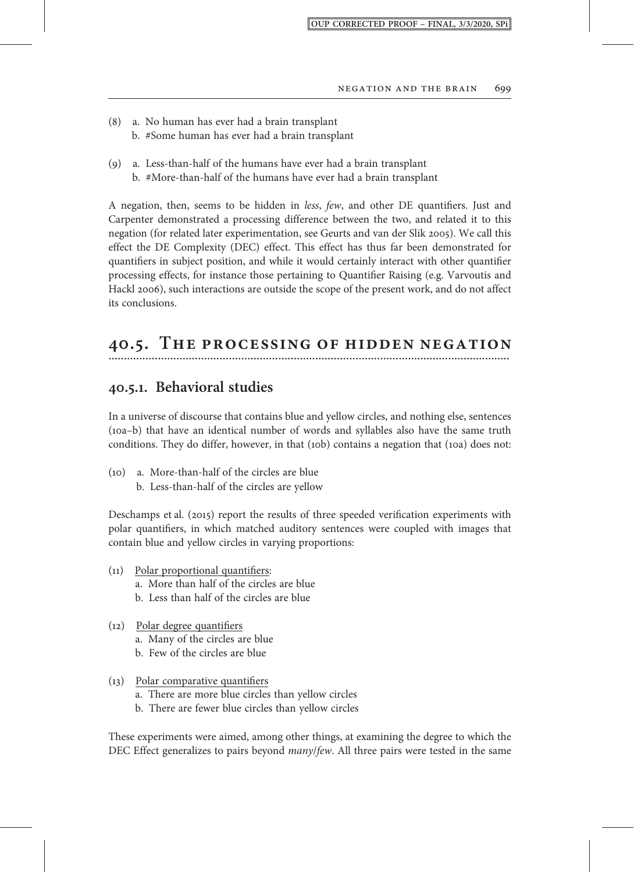- () a. No human has ever had a brain transplant b. #Some human has ever had a brain transplant
- () a. Less-than-half of the humans have ever had a brain transplant b. #More-than-half of the humans have ever had a brain transplant

A negation, then, seems to be hidden in less, few, and other DE quantifiers. Just and Carpenter demonstrated a processing difference between the two, and related it to this negation (for related later experimentation, see Geurts and van der Slik 2005). We call this effect the DE Complexity (DEC) effect. This effect has thus far been demonstrated for quantifiers in subject position, and while it would certainly interact with other quantifier processing effects, for instance those pertaining to Quantifier Raising (e.g. Varvoutis and Hackl 2006), such interactions are outside the scope of the present work, and do not affect its conclusions.

## 40.5. THE PROCESSING OF HIDDEN NEGATION

### **... Behavioral studies**

In a universe of discourse that contains blue and yellow circles, and nothing else, sentences (a–b) that have an identical number of words and syllables also have the same truth conditions. They do differ, however, in that  $(10b)$  contains a negation that  $(10a)$  does not:

(10) a. More-than-half of the circles are blue b. Less-than-half of the circles are yellow

Deschamps et al. (2015) report the results of three speeded verification experiments with polar quantifiers, in which matched auditory sentences were coupled with images that contain blue and yellow circles in varying proportions:

- (11) Polar proportional quantifiers:
	- a. More than half of the circles are blue
	- b. Less than half of the circles are blue
- (12) Polar degree quantifiers
	- a. Many of the circles are blue
	- b. Few of the circles are blue
- $(13)$  Polar comparative quantifiers
	- a. There are more blue circles than yellow circles
	- b. There are fewer blue circles than yellow circles

These experiments were aimed, among other things, at examining the degree to which the DEC Effect generalizes to pairs beyond many/few. All three pairs were tested in the same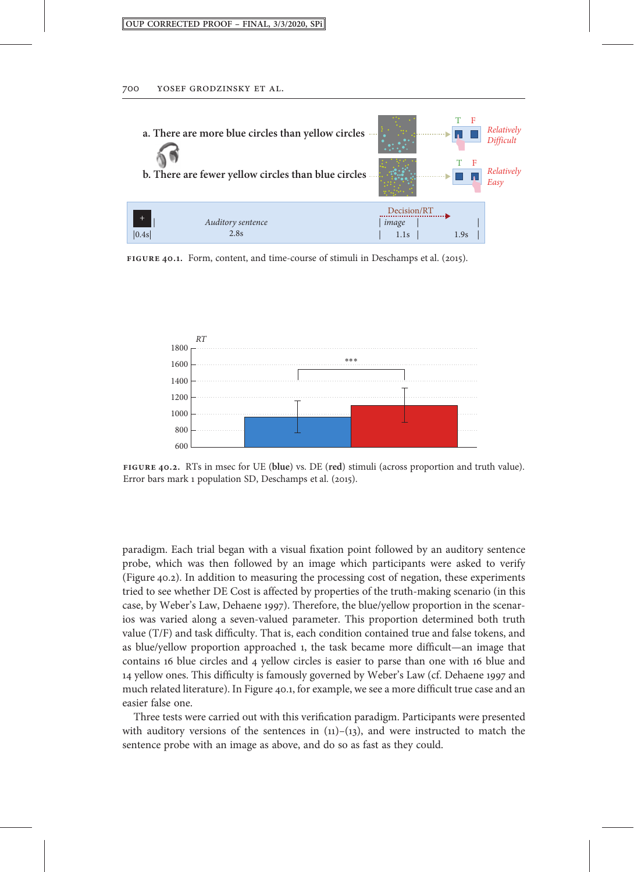

**FIGURE 40.1.** Form, content, and time-course of stimuli in Deschamps et al. (2015).



 **..** RTs in msec for UE (**blue**) vs. DE (**red**) stimuli (across proportion and truth value). Error bars mark 1 population SD, Deschamps et al. (2015).

paradigm. Each trial began with a visual fixation point followed by an auditory sentence probe, which was then followed by an image which participants were asked to verify (Figure 40.2). In addition to measuring the processing cost of negation, these experiments tried to see whether DE Cost is affected by properties of the truth-making scenario (in this case, by Weber's Law, Dehaene 1997). Therefore, the blue/yellow proportion in the scenarios was varied along a seven-valued parameter. This proportion determined both truth value (T/F) and task difficulty. That is, each condition contained true and false tokens, and as blue/yellow proportion approached , the task became more difficult—an image that contains 16 blue circles and 4 yellow circles is easier to parse than one with 16 blue and 14 yellow ones. This difficulty is famously governed by Weber's Law (cf. Dehaene 1997 and much related literature). In Figure 40.1, for example, we see a more difficult true case and an easier false one.

Three tests were carried out with this verification paradigm. Participants were presented with auditory versions of the sentences in  $(11)-(13)$ , and were instructed to match the sentence probe with an image as above, and do so as fast as they could.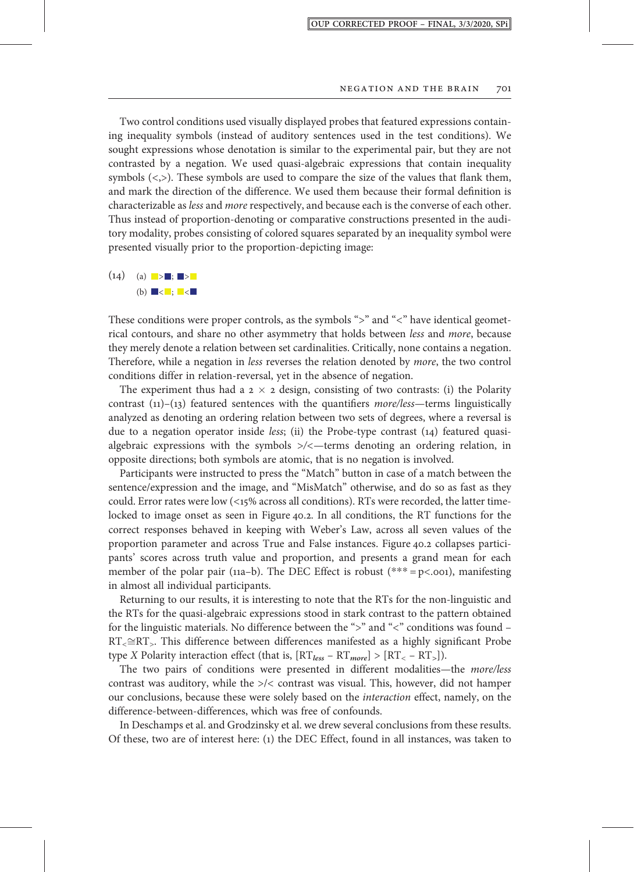#### NEGATION AND THE BRAIN 701

Two control conditions used visually displayed probes that featured expressions containing inequality symbols (instead of auditory sentences used in the test conditions). We sought expressions whose denotation is similar to the experimental pair, but they are not contrasted by a negation. We used quasi-algebraic expressions that contain inequality symbols  $(\langle, \rangle)$ . These symbols are used to compare the size of the values that flank them, and mark the direction of the difference. We used them because their formal definition is characterizable as less and more respectively, and because each is the converse of each other. Thus instead of proportion-denoting or comparative constructions presented in the auditory modality, probes consisting of colored squares separated by an inequality symbol were presented visually prior to the proportion-depicting image:

 $(14)$  (a)  $\blacktriangleright$ ,  $\blacktriangleright$ ,  $\blacktriangleright$ (b)  $\blacksquare$ <  $\blacksquare$  ;  $\blacksquare$ 

These conditions were proper controls, as the symbols ">" and "<" have identical geometrical contours, and share no other asymmetry that holds between less and more, because they merely denote a relation between set cardinalities. Critically, none contains a negation. Therefore, while a negation in less reverses the relation denoted by more, the two control conditions differ in relation-reversal, yet in the absence of negation.

The experiment thus had a  $2 \times 2$  design, consisting of two contrasts: (i) the Polarity contrast  $(u)$ – $(u)$  featured sentences with the quantifiers *more/less*—terms linguistically analyzed as denoting an ordering relation between two sets of degrees, where a reversal is due to a negation operator inside *less*; (ii) the Probe-type contrast  $(14)$  featured quasialgebraic expressions with the symbols  $\frac{>}{<}$  terms denoting an ordering relation, in opposite directions; both symbols are atomic, that is no negation is involved.

Participants were instructed to press the "Match" button in case of a match between the sentence/expression and the image, and "MisMatch" otherwise, and do so as fast as they could. Error rates were low  $\langle \langle 15\% \text{ across all conditions} \rangle$ . RTs were recorded, the latter timelocked to image onset as seen in Figure 40.2. In all conditions, the RT functions for the correct responses behaved in keeping with Weber's Law, across all seven values of the proportion parameter and across True and False instances. Figure 40.2 collapses participants' scores across truth value and proportion, and presents a grand mean for each member of the polar pair (11a–b). The DEC Effect is robust (\*\*\* =  $p$ <.001), manifesting in almost all individual participants.

Returning to our results, it is interesting to note that the RTs for the non-linguistic and the RTs for the quasi-algebraic expressions stood in stark contrast to the pattern obtained for the linguistic materials. No difference between the ">" and "<" conditions was found –  $RT \geq RT$ . This difference between differences manifested as a highly significant Probe type X Polarity interaction effect (that is,  $[RT_{less} - RT_{more}] > [RT_{lt} - RT_{gt}]$ ).

The two pairs of conditions were presented in different modalities—the more/less contrast was auditory, while the >/< contrast was visual. This, however, did not hamper our conclusions, because these were solely based on the interaction effect, namely, on the difference-between-differences, which was free of confounds.

In Deschamps et al. and Grodzinsky et al. we drew several conclusions from these results. Of these, two are of interest here:  $(i)$  the DEC Effect, found in all instances, was taken to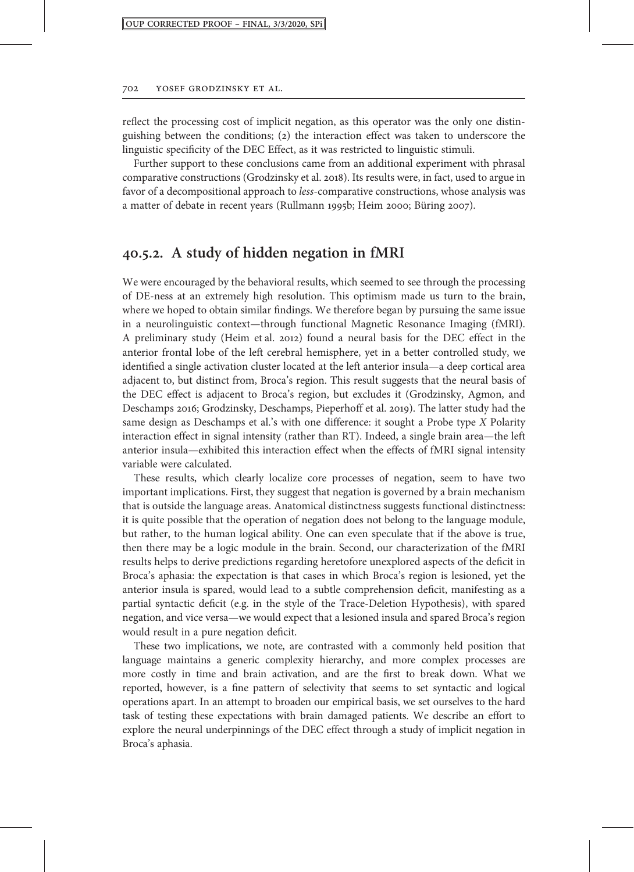reflect the processing cost of implicit negation, as this operator was the only one distinguishing between the conditions;  $(z)$  the interaction effect was taken to underscore the linguistic specificity of the DEC Effect, as it was restricted to linguistic stimuli.

Further support to these conclusions came from an additional experiment with phrasal comparative constructions (Grodzinsky et al. 2018). Its results were, in fact, used to argue in favor of a decompositional approach to less-comparative constructions, whose analysis was a matter of debate in recent years (Rullmann 1995b; Heim 2000; Büring 2007).

### **... A study of hidden negation in fMRI**

We were encouraged by the behavioral results, which seemed to see through the processing of DE-ness at an extremely high resolution. This optimism made us turn to the brain, where we hoped to obtain similar findings. We therefore began by pursuing the same issue in a neurolinguistic context—through functional Magnetic Resonance Imaging (fMRI). A preliminary study (Heim et al. 2012) found a neural basis for the DEC effect in the anterior frontal lobe of the left cerebral hemisphere, yet in a better controlled study, we identified a single activation cluster located at the left anterior insula—a deep cortical area adjacent to, but distinct from, Broca's region. This result suggests that the neural basis of the DEC effect is adjacent to Broca's region, but excludes it (Grodzinsky, Agmon, and Deschamps 2016; Grodzinsky, Deschamps, Pieperhoff et al. 2019). The latter study had the same design as Deschamps et al.'s with one difference: it sought a Probe type Χ Polarity interaction effect in signal intensity (rather than RT). Indeed, a single brain area—the left anterior insula—exhibited this interaction effect when the effects of fMRI signal intensity variable were calculated.

These results, which clearly localize core processes of negation, seem to have two important implications. First, they suggest that negation is governed by a brain mechanism that is outside the language areas. Anatomical distinctness suggests functional distinctness: it is quite possible that the operation of negation does not belong to the language module, but rather, to the human logical ability. One can even speculate that if the above is true, then there may be a logic module in the brain. Second, our characterization of the fMRI results helps to derive predictions regarding heretofore unexplored aspects of the deficit in Broca's aphasia: the expectation is that cases in which Broca's region is lesioned, yet the anterior insula is spared, would lead to a subtle comprehension deficit, manifesting as a partial syntactic deficit (e.g. in the style of the Trace-Deletion Hypothesis), with spared negation, and vice versa—we would expect that a lesioned insula and spared Broca's region would result in a pure negation deficit.

These two implications, we note, are contrasted with a commonly held position that language maintains a generic complexity hierarchy, and more complex processes are more costly in time and brain activation, and are the first to break down. What we reported, however, is a fine pattern of selectivity that seems to set syntactic and logical operations apart. In an attempt to broaden our empirical basis, we set ourselves to the hard task of testing these expectations with brain damaged patients. We describe an effort to explore the neural underpinnings of the DEC effect through a study of implicit negation in Broca's aphasia.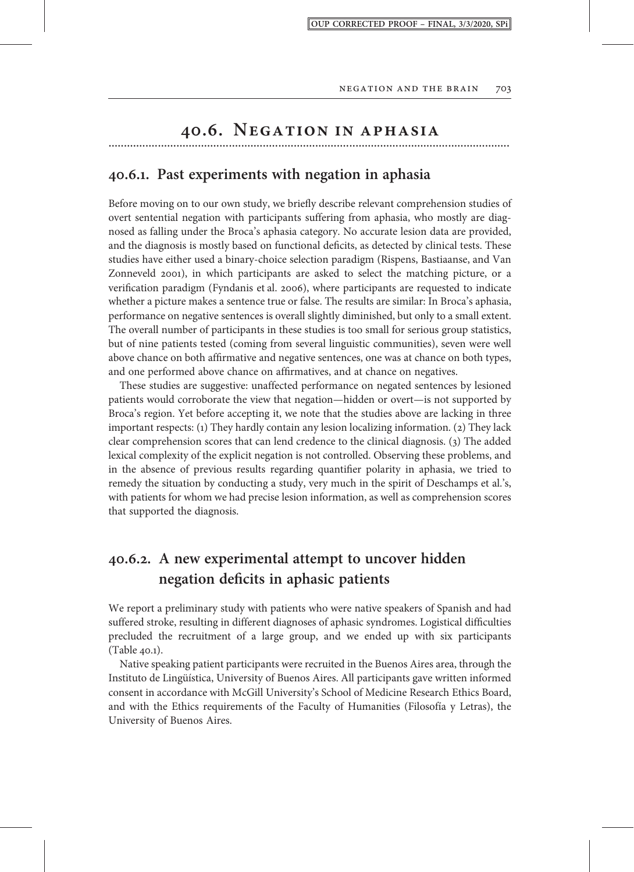## 40.6. NEGATION IN APHASIA

#### **... Past experiments with negation in aphasia**

Before moving on to our own study, we briefly describe relevant comprehension studies of overt sentential negation with participants suffering from aphasia, who mostly are diagnosed as falling under the Broca's aphasia category. No accurate lesion data are provided, and the diagnosis is mostly based on functional deficits, as detected by clinical tests. These studies have either used a binary-choice selection paradigm (Rispens, Bastiaanse, and Van Zonneveld 2001), in which participants are asked to select the matching picture, or a verification paradigm (Fyndanis et al. 2006), where participants are requested to indicate whether a picture makes a sentence true or false. The results are similar: In Broca's aphasia, performance on negative sentences is overall slightly diminished, but only to a small extent. The overall number of participants in these studies is too small for serious group statistics, but of nine patients tested (coming from several linguistic communities), seven were well above chance on both affirmative and negative sentences, one was at chance on both types, and one performed above chance on affirmatives, and at chance on negatives.

These studies are suggestive: unaffected performance on negated sentences by lesioned patients would corroborate the view that negation—hidden or overt—is not supported by Broca's region. Yet before accepting it, we note that the studies above are lacking in three important respects: (1) They hardly contain any lesion localizing information. (2) They lack clear comprehension scores that can lend credence to the clinical diagnosis. (3) The added lexical complexity of the explicit negation is not controlled. Observing these problems, and in the absence of previous results regarding quantifier polarity in aphasia, we tried to remedy the situation by conducting a study, very much in the spirit of Deschamps et al.'s, with patients for whom we had precise lesion information, as well as comprehension scores that supported the diagnosis.

## **... A new experimental attempt to uncover hidden negation deficits in aphasic patients**

We report a preliminary study with patients who were native speakers of Spanish and had suffered stroke, resulting in different diagnoses of aphasic syndromes. Logistical difficulties precluded the recruitment of a large group, and we ended up with six participants  $(Table 40.1)$ .

Native speaking patient participants were recruited in the Buenos Aires area, through the Instituto de Lingüística, University of Buenos Aires. All participants gave written informed consent in accordance with McGill University's School of Medicine Research Ethics Board, and with the Ethics requirements of the Faculty of Humanities (Filosofía y Letras), the University of Buenos Aires.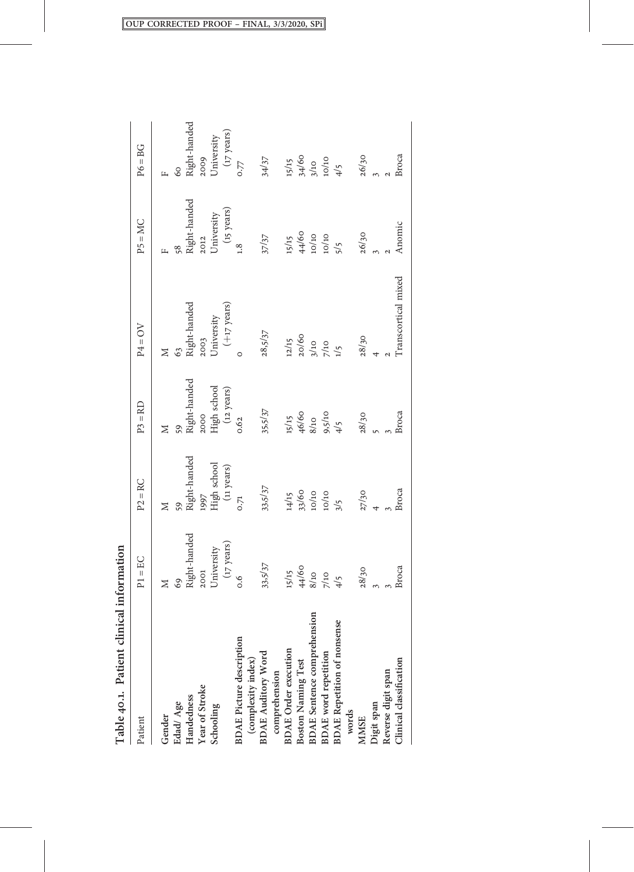Table 40.1. Patient clinical information **Table .. Patient clinical information**

| Patient                            | $P1 = EC$                                                             | $P2 = RC$                                                                                                                                        | $P3 = RD$                               | $P4 = OV$                                                       | $PS = MC$                                                       | $P6 = BG$                                                                                          |
|------------------------------------|-----------------------------------------------------------------------|--------------------------------------------------------------------------------------------------------------------------------------------------|-----------------------------------------|-----------------------------------------------------------------|-----------------------------------------------------------------|----------------------------------------------------------------------------------------------------|
| Edad/ Age<br>Gender                | 69                                                                    |                                                                                                                                                  |                                         |                                                                 |                                                                 | $E$ 8                                                                                              |
| Handedness                         | Right-handed<br>2001                                                  | $\begin{array}{l} \text{Right-handed} \\ \text{1997} \\ \text{High school} \\ \text{(11 years)} \\ \text{(21 years)} \\ \text{0.71} \end{array}$ | Right-handed<br>2000                    | Night-handed<br>2003<br>University<br>University<br>(+17 years) | Right-handed<br>2012<br>University<br>(15 years)                | Right-handed<br>2009                                                                               |
| Year of Stroke                     |                                                                       |                                                                                                                                                  |                                         |                                                                 |                                                                 |                                                                                                    |
| Schooling                          | $\begin{array}{c} \text{University} \\ \text{(17 years)} \end{array}$ |                                                                                                                                                  | High school (12 years) $_{0.62}$        |                                                                 |                                                                 | University $(17 \text{ years})$                                                                    |
|                                    |                                                                       |                                                                                                                                                  |                                         |                                                                 |                                                                 |                                                                                                    |
| <b>BDAE</b> Picture description    | 0.6                                                                   |                                                                                                                                                  |                                         |                                                                 |                                                                 | 0.77                                                                                               |
| (complexity index)                 |                                                                       |                                                                                                                                                  |                                         |                                                                 |                                                                 |                                                                                                    |
| <b>BDAE Auditory Word</b>          | 33.5/37                                                               | 33.5/37                                                                                                                                          | 35,5/37                                 | 28,5/37                                                         | 37/37                                                           |                                                                                                    |
| comprehension                      |                                                                       |                                                                                                                                                  |                                         |                                                                 |                                                                 |                                                                                                    |
| <b>BDAE</b> Order execution        |                                                                       |                                                                                                                                                  |                                         |                                                                 |                                                                 |                                                                                                    |
| <b>Boston Naming Test</b>          |                                                                       |                                                                                                                                                  |                                         |                                                                 |                                                                 |                                                                                                    |
| <b>BDAE</b> Sentence comprehension |                                                                       |                                                                                                                                                  |                                         |                                                                 |                                                                 |                                                                                                    |
| <b>BDAE</b> word repetition        |                                                                       |                                                                                                                                                  |                                         |                                                                 |                                                                 |                                                                                                    |
| <b>BDAE</b> Repetition of nonsense | $\frac{15/15}{44/60}$<br>$\frac{44/60}{5/10}$                         | $14/15$<br>33/60<br>10/10<br>10/10<br>10/10                                                                                                      | 15/15<br>46/60<br>8/10<br>9,5/10<br>4/5 | $\frac{12/15}{3/10}$<br>30/60<br>7/10<br>1/5                    | $15/15$<br>44/60<br>10/10<br>10/10<br>10/10                     |                                                                                                    |
| words                              |                                                                       |                                                                                                                                                  |                                         |                                                                 |                                                                 |                                                                                                    |
| <b>MMSE</b>                        |                                                                       |                                                                                                                                                  |                                         | 28/30                                                           | $\begin{array}{c}\n 26/30 \\ 3 \\ \text{A nonic}\n \end{array}$ | $34/37$<br>$15/15$<br>$34/60$<br>$37/10$<br>$4/5$<br>$4/5$<br>$3/30$<br>$3/30$<br>$2/30$<br>$3/30$ |
| Digit span                         | $\frac{28}{3}$<br>Broca                                               | $\frac{27}{3}$<br>$\frac{4}{3}$<br>Broca                                                                                                         | $28/30$<br>5 5 8 10 0 10 11             |                                                                 |                                                                 |                                                                                                    |
| Reverse digit span                 |                                                                       |                                                                                                                                                  |                                         |                                                                 |                                                                 |                                                                                                    |
| Clinical classification            |                                                                       |                                                                                                                                                  |                                         | Transcortical mixed                                             |                                                                 |                                                                                                    |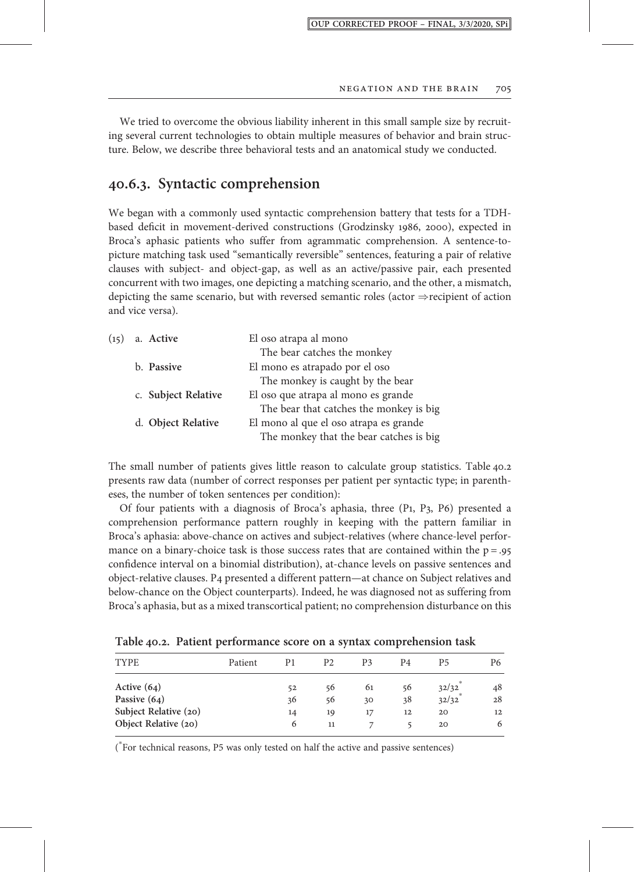We tried to overcome the obvious liability inherent in this small sample size by recruiting several current technologies to obtain multiple measures of behavior and brain structure. Below, we describe three behavioral tests and an anatomical study we conducted.

#### **... Syntactic comprehension**

We began with a commonly used syntactic comprehension battery that tests for a TDHbased deficit in movement-derived constructions (Grodzinsky 1986, 2000), expected in Broca's aphasic patients who suffer from agrammatic comprehension. A sentence-topicture matching task used "semantically reversible" sentences, featuring a pair of relative clauses with subject- and object-gap, as well as an active/passive pair, each presented concurrent with two images, one depicting a matching scenario, and the other, a mismatch, depicting the same scenario, but with reversed semantic roles (actor  $\Rightarrow$  recipient of action and vice versa).

| The bear catches the monkey             |
|-----------------------------------------|
| El mono es atrapado por el oso          |
| The monkey is caught by the bear        |
| El oso que atrapa al mono es grande     |
| The bear that catches the monkey is big |
| El mono al que el oso atrapa es grande  |
| The monkey that the bear catches is big |
|                                         |

The small number of patients gives little reason to calculate group statistics. Table 40.2 presents raw data (number of correct responses per patient per syntactic type; in parentheses, the number of token sentences per condition):

Of four patients with a diagnosis of Broca's aphasia, three  $(P_1, P_3, P_6)$  presented a comprehension performance pattern roughly in keeping with the pattern familiar in Broca's aphasia: above-chance on actives and subject-relatives (where chance-level performance on a binary-choice task is those success rates that are contained within the  $p = .95$ confidence interval on a binomial distribution), at-chance levels on passive sentences and object-relative clauses. P4 presented a different pattern—at chance on Subject relatives and below-chance on the Object counterparts). Indeed, he was diagnosed not as suffering from Broca's aphasia, but as a mixed transcortical patient; no comprehension disturbance on this

**Table .. Patient performance score on a syntax comprehension task**

| <b>TYPE</b>                                   | Patient | P1       | P2       | P3       | P4       | P5                            | P6.                    |
|-----------------------------------------------|---------|----------|----------|----------|----------|-------------------------------|------------------------|
| Active $(64)$<br>Passive $(64)$               |         | 52<br>36 | 56<br>56 | 61<br>30 | 56<br>38 | 32/32<br>$32/32$ <sup>*</sup> | 48<br>28               |
| Subject Relative (20)<br>Object Relative (20) |         | 14<br>6  | 19<br>11 | 17       | 12       | 20<br>20                      | $12 \overline{ }$<br>6 |

( \* For technical reasons, P5 was only tested on half the active and passive sentences)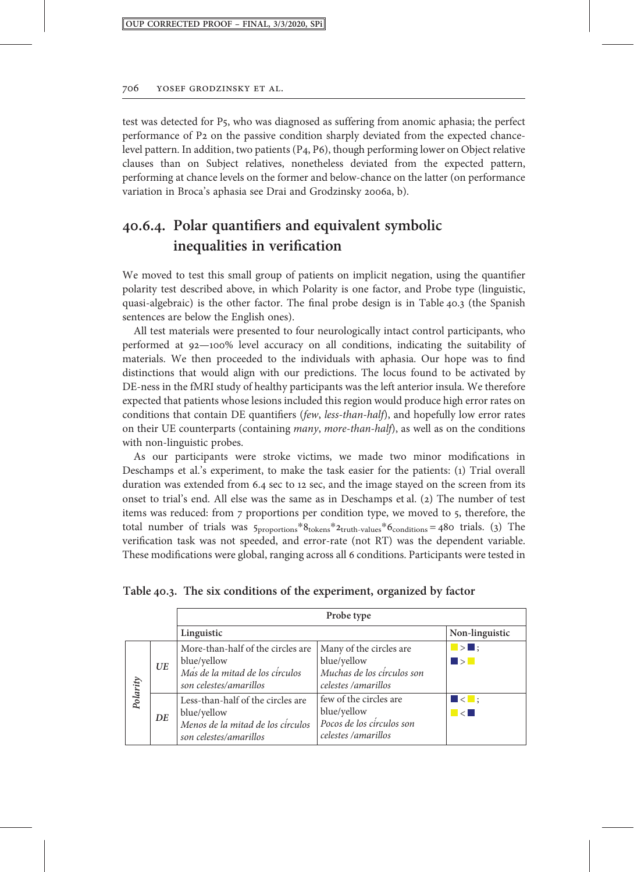test was detected for P5, who was diagnosed as suffering from anomic aphasia; the perfect performance of  $P_2$  on the passive condition sharply deviated from the expected chancelevel pattern. In addition, two patients  $(P_4, P_6)$ , though performing lower on Object relative clauses than on Subject relatives, nonetheless deviated from the expected pattern, performing at chance levels on the former and below-chance on the latter (on performance variation in Broca's aphasia see Drai and Grodzinsky 2006a, b).

## **... Polar quantifiers and equivalent symbolic inequalities in verification**

We moved to test this small group of patients on implicit negation, using the quantifier polarity test described above, in which Polarity is one factor, and Probe type (linguistic, quasi-algebraic) is the other factor. The final probe design is in Table  $40.3$  (the Spanish sentences are below the English ones).

All test materials were presented to four neurologically intact control participants, who performed at  $92$ —100% level accuracy on all conditions, indicating the suitability of materials. We then proceeded to the individuals with aphasia. Our hope was to find distinctions that would align with our predictions. The locus found to be activated by DE-ness in the fMRI study of healthy participants was the left anterior insula. We therefore expected that patients whose lesions included this region would produce high error rates on conditions that contain DE quantifiers (few, less-than-half), and hopefully low error rates on their UE counterparts (containing *many*, *more-than-half*), as well as on the conditions with non-linguistic probes.

As our participants were stroke victims, we made two minor modifications in Deschamps et al.'s experiment, to make the task easier for the patients: (1) Trial overall duration was extended from 6.4 sec to 12 sec, and the image stayed on the screen from its onset to trial's end. All else was the same as in Deschamps et al.  $(2)$  The number of test items was reduced: from  $7$  proportions per condition type, we moved to  $5$ , therefore, the total number of trials was  $5_{\text{proportions}}$ <sup>\*8</sup><sub>tokens</sub>\*2<sub>truth-values</sub>\*6<sub>conditions</sub> = 480 trials. (3) The verification task was not speeded, and error-rate (not RT) was the dependent variable. These modifications were global, ranging across all 6 conditions. Participants were tested in

|          |    |                                                                                                                 | Probe type                                                                                  |                                                      |
|----------|----|-----------------------------------------------------------------------------------------------------------------|---------------------------------------------------------------------------------------------|------------------------------------------------------|
|          |    | Linguistic                                                                                                      |                                                                                             | Non-linguistic                                       |
|          | UE | More-than-half of the circles are<br>blue/yellow<br>Mas de la mitad de los circulos<br>son celestes/amarillos   | Many of the circles are<br>blue/yellow<br>Muchas de los círculos son<br>celestes /amarillos | $\blacksquare > \blacksquare$<br>$\Box$              |
| Polarity | DE | Less-than-half of the circles are<br>blue/yellow<br>Menos de la mitad de los círculos<br>son celestes/amarillos | few of the circles are<br>blue/yellow<br>Pocos de los círculos son<br>celestes /amarillos   | $\blacksquare$ $<$ $\blacksquare$ $\vdots$<br>$\sim$ |

**Table .. The six conditions of the experiment, organized by factor**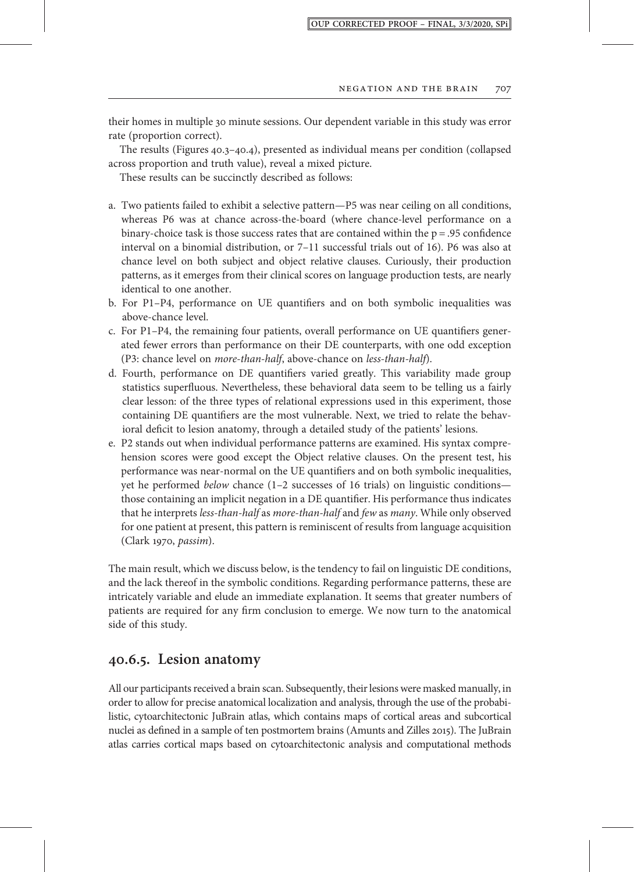their homes in multiple 30 minute sessions. Our dependent variable in this study was error rate (proportion correct).

The results (Figures 40.3-40.4), presented as individual means per condition (collapsed across proportion and truth value), reveal a mixed picture.

These results can be succinctly described as follows:

- a. Two patients failed to exhibit a selective pattern—P5 was near ceiling on all conditions, whereas P6 was at chance across-the-board (where chance-level performance on a binary-choice task is those success rates that are contained within the  $p = .95$  confidence interval on a binomial distribution, or 7–11 successful trials out of 16). P6 was also at chance level on both subject and object relative clauses. Curiously, their production patterns, as it emerges from their clinical scores on language production tests, are nearly identical to one another.
- b. For P1–P4, performance on UE quantifiers and on both symbolic inequalities was above-chance level.
- c. For P1–P4, the remaining four patients, overall performance on UE quantifiers generated fewer errors than performance on their DE counterparts, with one odd exception (P3: chance level on more-than-half, above-chance on less-than-half).
- d. Fourth, performance on DE quantifiers varied greatly. This variability made group statistics superfluous. Nevertheless, these behavioral data seem to be telling us a fairly clear lesson: of the three types of relational expressions used in this experiment, those containing DE quantifiers are the most vulnerable. Next, we tried to relate the behavioral deficit to lesion anatomy, through a detailed study of the patients' lesions.
- e. P2 stands out when individual performance patterns are examined. His syntax comprehension scores were good except the Object relative clauses. On the present test, his performance was near-normal on the UE quantifiers and on both symbolic inequalities, yet he performed below chance (1–2 successes of 16 trials) on linguistic conditions those containing an implicit negation in a DE quantifier. His performance thus indicates that he interprets less-than-half as more-than-half and few as many. While only observed for one patient at present, this pattern is reminiscent of results from language acquisition  $(Clark 1970, *passim*).$

The main result, which we discuss below, is the tendency to fail on linguistic DE conditions, and the lack thereof in the symbolic conditions. Regarding performance patterns, these are intricately variable and elude an immediate explanation. It seems that greater numbers of patients are required for any firm conclusion to emerge. We now turn to the anatomical side of this study.

#### **... Lesion anatomy**

All our participants received a brain scan. Subsequently, their lesions were masked manually, in order to allow for precise anatomical localization and analysis, through the use of the probabilistic, cytoarchitectonic JuBrain atlas, which contains maps of cortical areas and subcortical nuclei as defined in a sample of ten postmortem brains (Amunts and Zilles 2015). The JuBrain atlas carries cortical maps based on cytoarchitectonic analysis and computational methods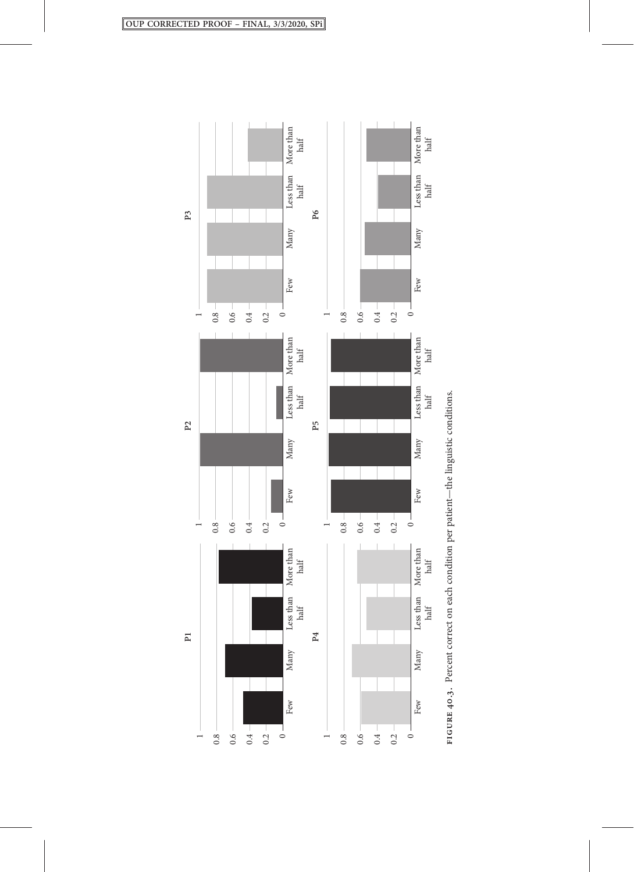

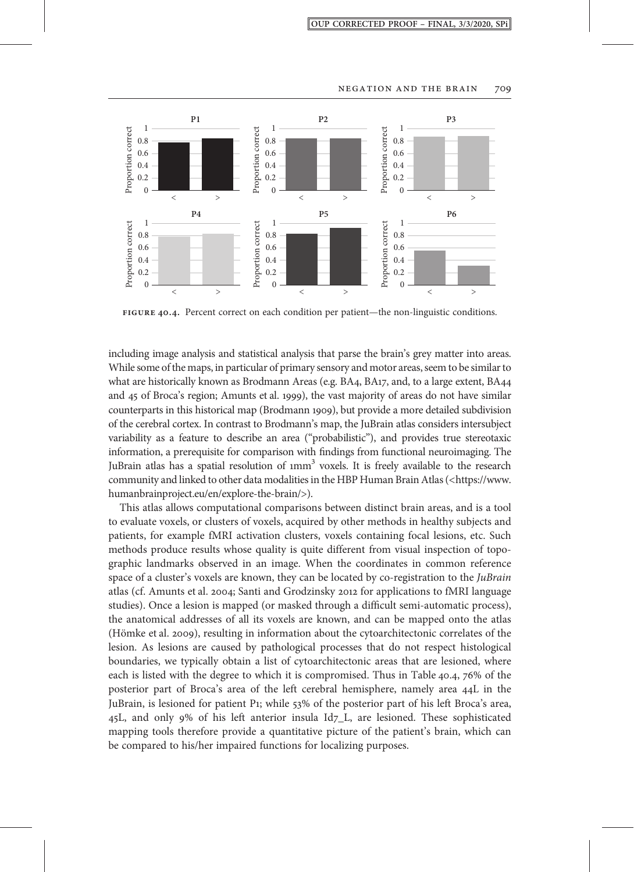

#### NEGATION AND THE BRAIN 709

 **..** Percent correct on each condition per patient—the non-linguistic conditions.

including image analysis and statistical analysis that parse the brain's grey matter into areas. While some of the maps, in particular of primary sensory and motor areas, seem to be similar to what are historically known as Brodmann Areas (e.g. BA4, BA17, and, to a large extent, BA44 and 45 of Broca's region; Amunts et al. 1999), the vast majority of areas do not have similar counterparts in this historical map (Brodmann 1909), but provide a more detailed subdivision of the cerebral cortex. In contrast to Brodmann's map, the JuBrain atlas considers intersubject variability as a feature to describe an area ("probabilistic"), and provides true stereotaxic information, a prerequisite for comparison with findings from functional neuroimaging. The JuBrain atlas has a spatial resolution of  $\text{imm}^3$  voxels. It is freely available to the research community and linked to other data modalities in the HBP Human Brain Atlas (<https://www. humanbrainproject.eu/en/explore-the-brain/>).

This atlas allows computational comparisons between distinct brain areas, and is a tool to evaluate voxels, or clusters of voxels, acquired by other methods in healthy subjects and patients, for example fMRI activation clusters, voxels containing focal lesions, etc. Such methods produce results whose quality is quite different from visual inspection of topographic landmarks observed in an image. When the coordinates in common reference space of a cluster's voxels are known, they can be located by co-registration to the *JuBrain* atlas (cf. Amunts et al. 2004; Santi and Grodzinsky 2012 for applications to fMRI language studies). Once a lesion is mapped (or masked through a difficult semi-automatic process), the anatomical addresses of all its voxels are known, and can be mapped onto the atlas (Hömke et al. 2009), resulting in information about the cytoarchitectonic correlates of the lesion. As lesions are caused by pathological processes that do not respect histological boundaries, we typically obtain a list of cytoarchitectonic areas that are lesioned, where each is listed with the degree to which it is compromised. Thus in Table  $40.4$ ,  $76\%$  of the posterior part of Broca's area of the left cerebral hemisphere, namely area 44L in the JuBrain, is lesioned for patient P<sub>1</sub>; while  $53\%$  of the posterior part of his left Broca's area, 45L, and only 9% of his left anterior insula  $Id_7L$ , are lesioned. These sophisticated mapping tools therefore provide a quantitative picture of the patient's brain, which can be compared to his/her impaired functions for localizing purposes.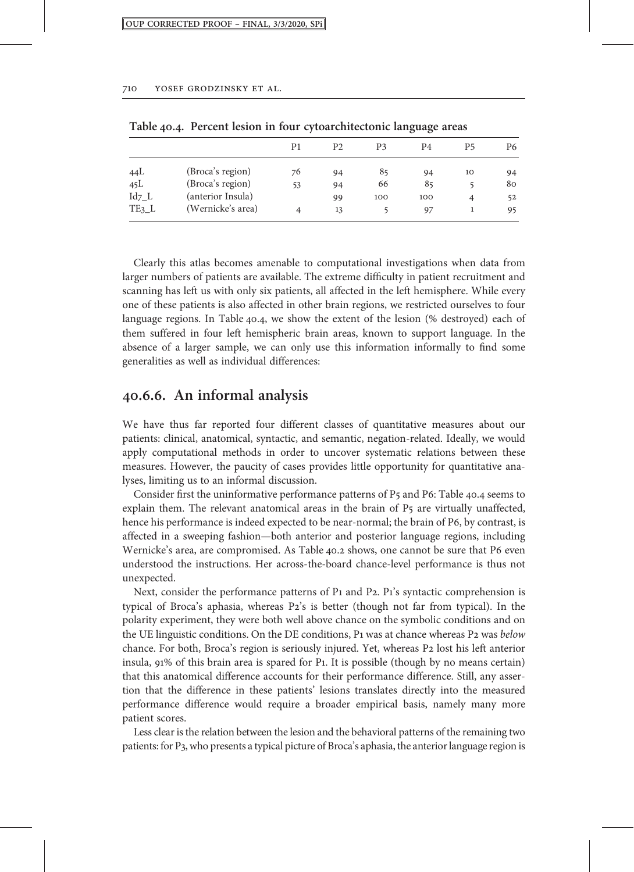|  | 710 |  | YOSEF GRODZINSKY ET AL. |  |  |
|--|-----|--|-------------------------|--|--|
|--|-----|--|-------------------------|--|--|

|         |                   |    |                |     | $\sim$<br>. . |    |    |
|---------|-------------------|----|----------------|-----|---------------|----|----|
|         |                   | P1 | P <sub>2</sub> | P3  | P4            | Р5 | Р6 |
| 44L     | (Broca's region)  | 76 | 94             | 85  | 94            | 10 | 94 |
| 45L     | (Broca's region)  | 53 | 94             | 66  | 85            |    | 80 |
| $Id7_L$ | (anterior Insula) |    | 99             | 100 | 100           | 4  | 52 |
| $TE3_L$ | (Wernicke's area) | 4  | 13             |     | 97            |    | 95 |

**Table .. Percent lesion in four cytoarchitectonic language areas**

Clearly this atlas becomes amenable to computational investigations when data from larger numbers of patients are available. The extreme difficulty in patient recruitment and scanning has left us with only six patients, all affected in the left hemisphere. While every one of these patients is also affected in other brain regions, we restricted ourselves to four language regions. In Table 40.4, we show the extent of the lesion  $(\%$  destroyed) each of them suffered in four left hemispheric brain areas, known to support language. In the absence of a larger sample, we can only use this information informally to find some generalities as well as individual differences:

#### **... An informal analysis**

We have thus far reported four different classes of quantitative measures about our patients: clinical, anatomical, syntactic, and semantic, negation-related. Ideally, we would apply computational methods in order to uncover systematic relations between these measures. However, the paucity of cases provides little opportunity for quantitative analyses, limiting us to an informal discussion.

Consider first the uninformative performance patterns of  $P_5$  and  $P_6$ : Table 40.4 seems to explain them. The relevant anatomical areas in the brain of P5 are virtually unaffected, hence his performance is indeed expected to be near-normal; the brain of P6, by contrast, is affected in a sweeping fashion—both anterior and posterior language regions, including Wernicke's area, are compromised. As Table 40.2 shows, one cannot be sure that P6 even understood the instructions. Her across-the-board chance-level performance is thus not unexpected.

Next, consider the performance patterns of P1 and P2. P1's syntactic comprehension is typical of Broca's aphasia, whereas P2's is better (though not far from typical). In the polarity experiment, they were both well above chance on the symbolic conditions and on the UE linguistic conditions. On the DE conditions, P1 was at chance whereas P2 was below chance. For both, Broca's region is seriously injured. Yet, whereas P2 lost his left anterior insula, 91% of this brain area is spared for P1. It is possible (though by no means certain) that this anatomical difference accounts for their performance difference. Still, any assertion that the difference in these patients' lesions translates directly into the measured performance difference would require a broader empirical basis, namely many more patient scores.

Less clear is the relation between the lesion and the behavioral patterns of the remaining two patients: for P<sub>3</sub>, who presents a typical picture of Broca's aphasia, the anterior language region is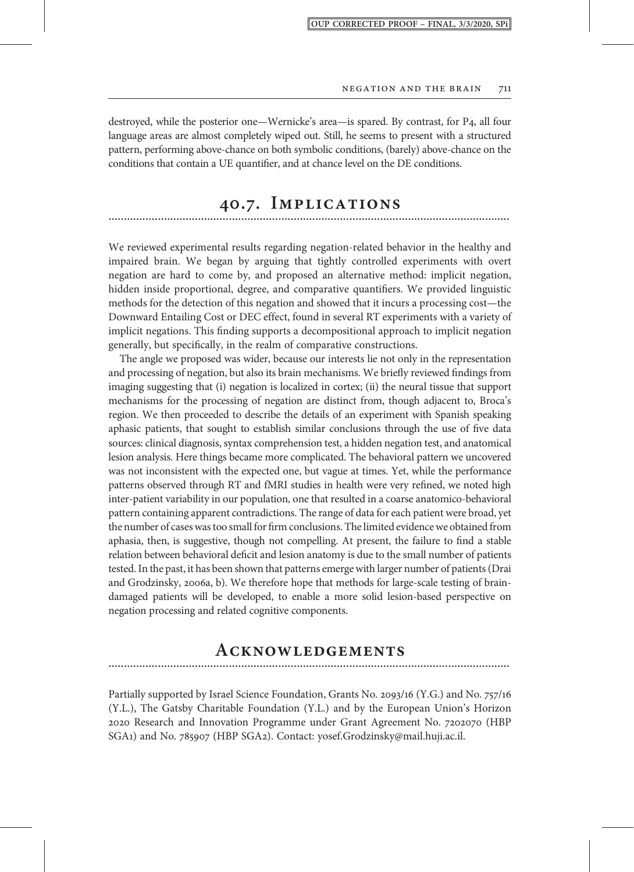destroyed, while the posterior one—Wernicke's area—is spared. By contrast, for P4, all four language areas are almost completely wiped out. Still, he seems to present with a structured pattern, performing above-chance on both symbolic conditions, (barely) above-chance on the conditions that contain a UE quantifier, and at chance level on the DE conditions.

## **40.7. IMPLICATIONS**

We reviewed experimental results regarding negation-related behavior in the healthy and impaired brain. We began by arguing that tightly controlled experiments with overt negation are hard to come by, and proposed an alternative method: implicit negation, hidden inside proportional, degree, and comparative quantifiers. We provided linguistic methods for the detection of this negation and showed that it incurs a processing cost—the Downward Entailing Cost or DEC effect, found in several RT experiments with a variety of implicit negations. This finding supports a decompositional approach to implicit negation generally, but specifically, in the realm of comparative constructions.

The angle we proposed was wider, because our interests lie not only in the representation and processing of negation, but also its brain mechanisms. We briefly reviewed findings from imaging suggesting that (i) negation is localized in cortex; (ii) the neural tissue that support mechanisms for the processing of negation are distinct from, though adjacent to, Broca's region. We then proceeded to describe the details of an experiment with Spanish speaking aphasic patients, that sought to establish similar conclusions through the use of five data sources: clinical diagnosis, syntax comprehension test, a hidden negation test, and anatomical lesion analysis. Here things became more complicated. The behavioral pattern we uncovered was not inconsistent with the expected one, but vague at times. Yet, while the performance patterns observed through RT and fMRI studies in health were very refined, we noted high inter-patient variability in our population, one that resulted in a coarse anatomico-behavioral pattern containing apparent contradictions. The range of data for each patient were broad, yet the number of cases was too small for firm conclusions. The limited evidence we obtained from aphasia, then, is suggestive, though not compelling. At present, the failure to find a stable relation between behavioral deficit and lesion anatomy is due to the small number of patients tested. In the past, it has been shown that patterns emerge with larger number of patients (Drai and Grodzinsky, 2006a, b). We therefore hope that methods for large-scale testing of braindamaged patients will be developed, to enable a more solid lesion-based perspective on negation processing and related cognitive components.

## **ACKNOWLEDGEMENTS**

Partially supported by Israel Science Foundation, Grants No. 2093/16 (Y.G.) and No. 757/16 (Y.L.), The Gatsby Charitable Foundation (Y.L.) and by the European Union's Horizon 2020 Research and Innovation Programme under Grant Agreement No. 7202070 (HBP

SGA1) and No. 785907 (HBP SGA2). Contact: yosef.Grodzinsky@mail.huji.ac.il.